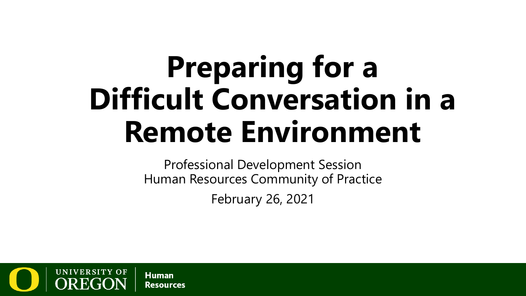# **Preparing for a Difficult Conversation in a Remote Environment**

Professional Development Session Human Resources Community of Practice February 26, 2021

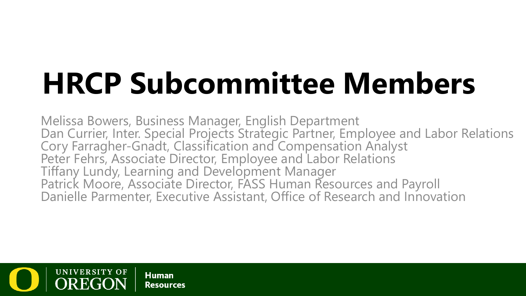# **HRCP Subcommittee Members**

Melissa Bowers, Business Manager, English Department Dan Currier, Inter. Special Projects Strategic Partner, Employee and Labor Relations Cory Farragher-Gnadt, Classification and Compensation Analyst<br>Peter Fehrs, Associate Director, Employee and Labor Relations Tiffany Lundy, Learning and Development Manager Patrick Moore, Associate Director, FASS Human Resources and Payroll Danielle Parmenter, Executive Assistant, Office of Research and Innovation

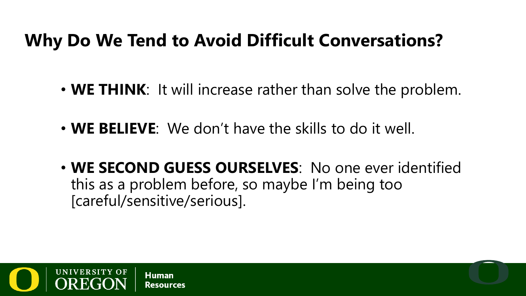#### **Why Do We Tend to Avoid Difficult Conversations?**

- **WE THINK**: It will increase rather than solve the problem.
- **WE BELIEVE**: We don't have the skills to do it well.
- **WE SECOND GUESS OURSELVES**: No one ever identified this as a problem before, so maybe I'm being too [careful/sensitive/serious].

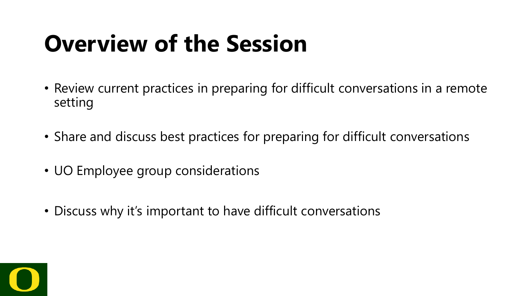### **Overview of the Session**

- Review current practices in preparing for difficult conversations in a remote setting
- Share and discuss best practices for preparing for difficult conversations
- UO Employee group considerations
- Discuss why it's important to have difficult conversations

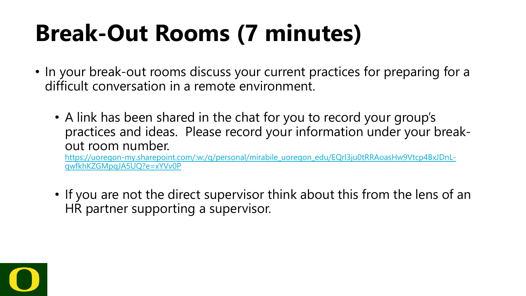# **Break-Out Rooms (7 minutes)**

- In your break-out rooms discuss your current practices for preparing for a difficult conversation in a remote environment.
	- A link has been shared in the chat for you to record your group's practices and ideas. Please record your information under your breakout room number.

[https://uoregon-my.sharepoint.com/:w:/g/personal/mirabile\\_uoregon\\_edu/EQrl3ju0tRRAoasHw9Vtcp4BxJDnL](https://uoregon-my.sharepoint.com/:w:/g/personal/mirabile_uoregon_edu/EQrl3ju0tRRAoasHw9Vtcp4BxJDnL-qwfkhKZGMpqJA5UQ?e=xYVv0P)qwfkhKZGMpqJA5UQ?e=xYVv0P

• If you are not the direct supervisor think about this from the lens of an HR partner supporting a supervisor.

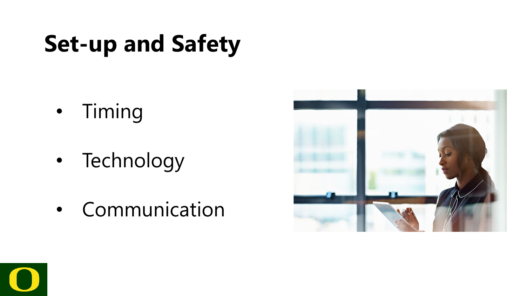# **Set-up and Safety**

- Timing
- Technology
- Communication



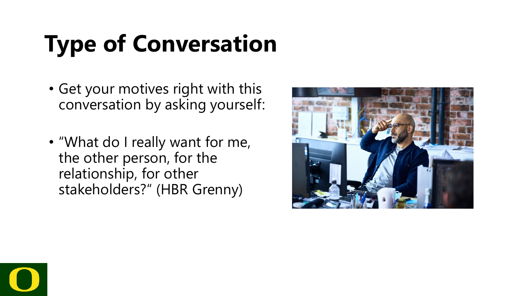# **Type of Conversation**

- Get your motives right with this conversation by asking yourself:
- "What do I really want for me, the other person, for the relationship, for other stakeholders?" (HBR Grenny)



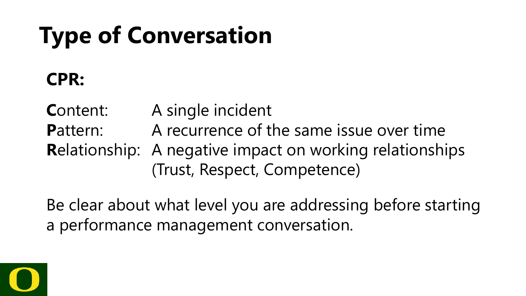# **Type of Conversation**

#### **CPR:**

**C**ontent: A single incident **Pattern:** A recurrence of the same issue over time **R**elationship: A negative impact on working relationships (Trust, Respect, Competence)

Be clear about what level you are addressing before starting a performance management conversation.

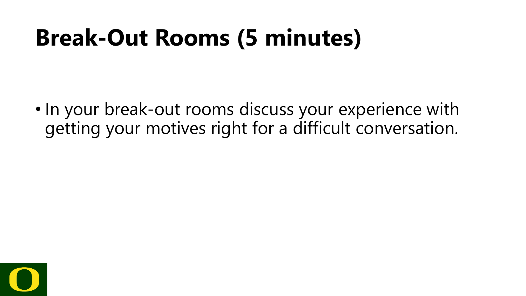### **Break-Out Rooms (5 minutes)**

• In your break-out rooms discuss your experience with getting your motives right for a difficult conversation.

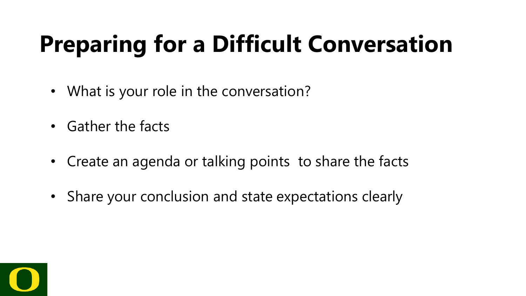# **Preparing for a Difficult Conversation**

- What is your role in the conversation?
- Gather the facts
- Create an agenda or talking points to share the facts
- Share your conclusion and state expectations clearly

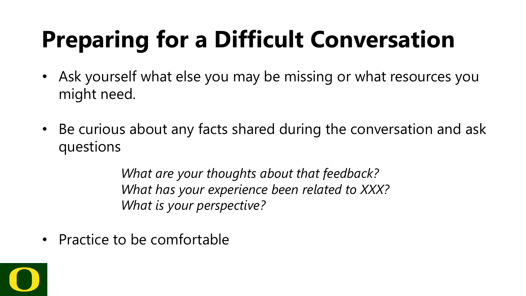# **Preparing for a Difficult Conversation**

- Ask yourself what else you may be missing or what resources you might need.
- Be curious about any facts shared during the conversation and ask questions

*What are your thoughts about that feedback? What has your experience been related to XXX? What is your perspective?*

• Practice to be comfortable

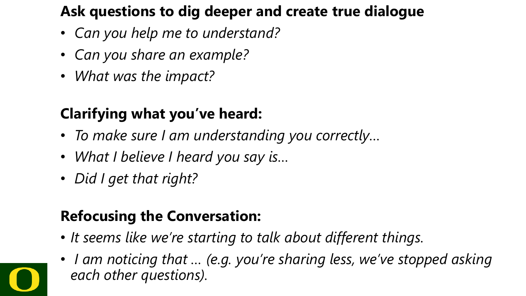#### **Ask questions to dig deeper and create true dialogue**

- *Can you help me to understand?*
- *Can you share an example?*
- *What was the impact?*

#### **Clarifying what you've heard:**

- *To make sure I am understanding you correctly…*
- *What I believe I heard you say is…*
- *Did I get that right?*

#### **Refocusing the Conversation:**

- *It seems like we're starting to talk about different things.*
- *I am noticing that … (e.g. you're sharing less, we've stopped asking each other questions).*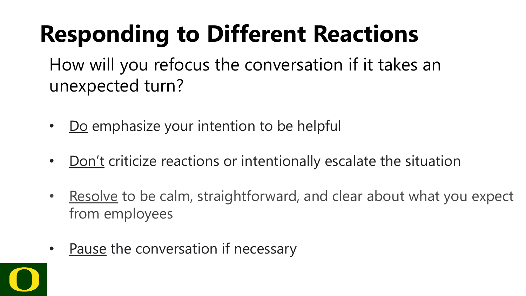# **Responding to Different Reactions**

How will you refocus the conversation if it takes an unexpected turn?

- Do emphasize your intention to be helpful
- Don't criticize reactions or intentionally escalate the situation
- Resolve to be calm, straightforward, and clear about what you expect from employees
- Pause the conversation if necessary

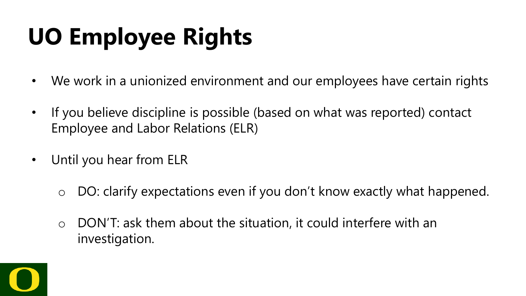# **UO Employee Rights**

- We work in a unionized environment and our employees have certain rights
- If you believe discipline is possible (based on what was reported) contact Employee and Labor Relations (ELR)
- Until you hear from ELR
	- o DO: clarify expectations even if you don't know exactly what happened.
	- o DON'T: ask them about the situation, it could interfere with an investigation.

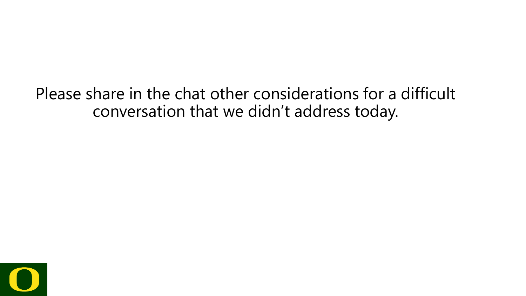Please share in the chat other considerations for a difficult conversation that we didn't address today.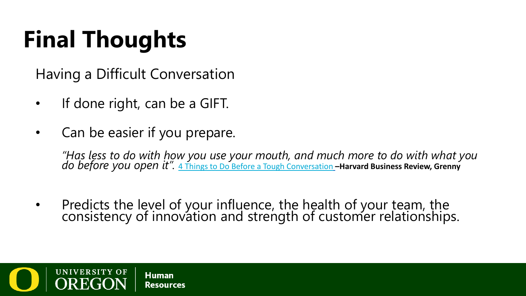# **Final Thoughts**

Having a Difficult Conversation

- If done right, can be a GIFT.
- Can be easier if you prepare.

*"Has less to do with how you use your mouth, and much more to do with what you do before you open it".* [4 Things to Do Before a Tough Conversation](https://hbr.org/2019/01/4-things-to-do-before-a-tough-conversation?ab=at_articlepage_recommendedarticles_bottom1x1) **–Harvard Business Review, Grenny**

• Predicts the level of your influence, the health of your team, the consistency of innovation and strength of customer relationships.

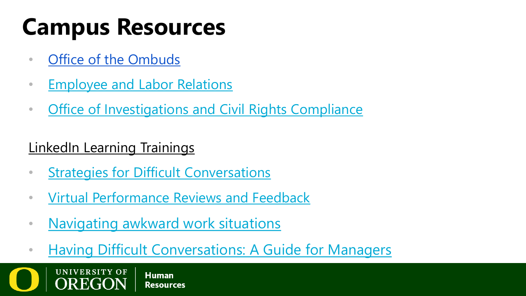# **Campus Resources**

- [Office of the Ombuds](https://ombuds.uoregon.edu/)
- [Employee and Labor Relations](https://hr.uoregon.edu/er)
- [Office of Investigations and Civil Rights Compliance](https://investigations.uoregon.edu/)

#### LinkedIn Learning Trainings

- [Strategies for Difficult Conversations](https://www.linkedin.com/learning/mixtape-highlights-from-linkedin-learning-courses?u=68269554)
- [Virtual Performance Reviews and Feedback](https://www.linkedin.com/learning/virtual-performance-reviews-and-feedback/effective-virtual-performance-reviews-and-feedback?u=68269554)
- [Navigating awkward work situations](https://www.linkedin.com/learning-login/share?account=68269554&forceAccount=false&redirect=https%3A%2F%2Fwww%2Elinkedin%2Ecom%2Flearning%2Fnavigating-awkward-situations-at-work&shareId=9aee660a-a7c8-4e65-b4c2-a87ed59e7425)
- [Having Difficult Conversations: A Guide for Managers](https://www.linkedin.com/learning-login/share?account=68269554&forceAccount=false&redirect=https%3A%2F%2Fwww%2Elinkedin%2Ecom%2Flearning%2Fhaving-difficult-conversations-a-guide-for-managers&shareId=e4a54541-9e36-4bad-8adc-05e0b2c7adc3)

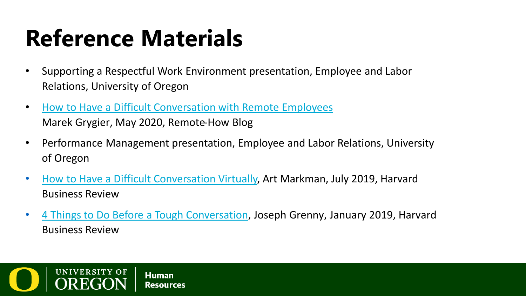# **Reference Materials**

- Supporting a Respectful Work Environment presentation, Employee and Labor Relations, University of Oregon
- [How to Have a Difficult Conversation with Remote Employees](https://remote-how.com/blog/how-to-have-difficult-conversations-with-remote-employees) Marek Grygier, May 2020, Remote-How Blog
- Performance Management presentation, Employee and Labor Relations, University of Oregon
- [How to Have a Difficult Conversation Virtually,](https://hbr.org/2019/07/how-to-have-difficult-conversations-virtually) Art Markman, July 2019, Harvard Business Review
- [4 Things to Do Before a Tough Conversation,](https://hbr.org/2019/01/4-things-to-do-before-a-tough-conversation?ab=at_articlepage_recommendedarticles_bottom1x1) Joseph Grenny, January 2019, Harvard Business Review